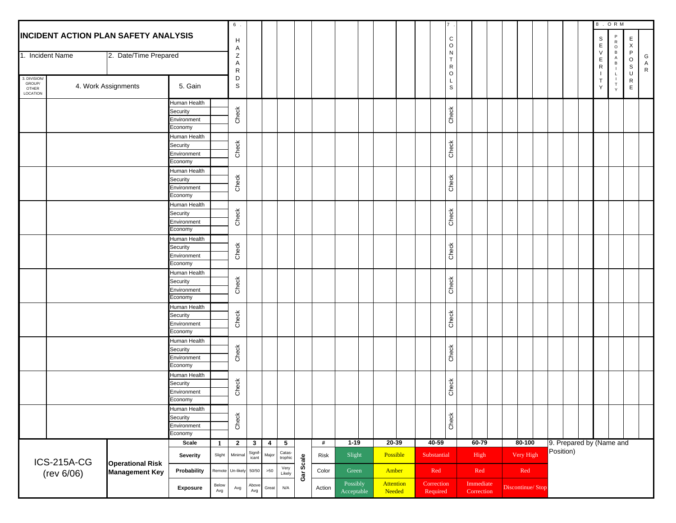|                                            |                    |                                             |                         |              | 6.           |                         |                         |                         |           |        |                                      |  |                     |  |                        |                              |                         |  |           |                   |  |  |                       | 8 . O R M                |                           |              |
|--------------------------------------------|--------------------|---------------------------------------------|-------------------------|--------------|--------------|-------------------------|-------------------------|-------------------------|-----------|--------|--------------------------------------|--|---------------------|--|------------------------|------------------------------|-------------------------|--|-----------|-------------------|--|--|-----------------------|--------------------------|---------------------------|--------------|
|                                            |                    | <b>INCIDENT ACTION PLAN SAFETY ANALYSIS</b> |                         |              |              |                         |                         |                         |           |        |                                      |  |                     |  |                        | $\mathtt{C}$                 |                         |  |           |                   |  |  | $\mathbb S$           | $\mathsf{P}$             | E                         |              |
|                                            |                    |                                             |                         |              | Н<br>Α       |                         |                         |                         |           |        |                                      |  |                     |  |                        | $\mathsf O$                  |                         |  |           |                   |  |  | $\mathsf E$           | ${\sf R}$<br>$\circ$     | $\boldsymbol{\mathsf{X}}$ |              |
|                                            | 1. Incident Name   | 2. Date/Time Prepared                       |                         |              | Ζ            |                         |                         |                         |           |        |                                      |  |                     |  |                        | $\mathsf{N}$                 |                         |  |           |                   |  |  | ${\sf V}$             | $\,$ B<br>A              | P                         | G            |
|                                            |                    |                                             |                         |              | Α            |                         |                         |                         |           |        |                                      |  |                     |  |                        | $\mathsf{T}$<br>$\mathsf{R}$ |                         |  |           |                   |  |  | Ε<br>$\mathsf{R}$     | B                        | $\circ$<br>S              | A            |
|                                            |                    |                                             |                         |              | $\mathsf{R}$ |                         |                         |                         |           |        |                                      |  |                     |  |                        | $\circ$                      |                         |  |           |                   |  |  |                       | L                        | U                         | $\mathsf{R}$ |
| 3. DIVISION<br>GROUP/<br>OTHER<br>LOCATION |                    | 4. Work Assignments                         | 5. Gain                 |              | D<br>S       |                         |                         |                         |           |        |                                      |  |                     |  |                        | L<br>$\mathbb S$             |                         |  |           |                   |  |  | $\top$<br>$\mathsf Y$ | T<br>Y                   | R<br>E                    |              |
|                                            |                    |                                             | Human Health            |              |              |                         |                         |                         |           |        |                                      |  |                     |  |                        |                              |                         |  |           |                   |  |  |                       |                          |                           |              |
|                                            |                    |                                             | Security                |              |              |                         |                         |                         |           |        |                                      |  |                     |  |                        |                              |                         |  |           |                   |  |  |                       |                          |                           |              |
|                                            |                    |                                             | Environment             |              | Check        |                         |                         |                         |           |        |                                      |  |                     |  |                        | Check                        |                         |  |           |                   |  |  |                       |                          |                           |              |
|                                            |                    |                                             | Economy                 |              |              |                         |                         |                         |           |        |                                      |  |                     |  |                        |                              |                         |  |           |                   |  |  |                       |                          |                           |              |
|                                            |                    |                                             | Human Health            |              |              |                         |                         |                         |           |        |                                      |  |                     |  |                        |                              |                         |  |           |                   |  |  |                       |                          |                           |              |
|                                            |                    |                                             | Security                |              | Check        |                         |                         |                         |           |        |                                      |  |                     |  |                        | Check                        |                         |  |           |                   |  |  |                       |                          |                           |              |
|                                            |                    |                                             | Environment             |              |              |                         |                         |                         |           |        |                                      |  |                     |  |                        |                              |                         |  |           |                   |  |  |                       |                          |                           |              |
|                                            |                    |                                             | Economy                 |              |              |                         |                         |                         |           |        |                                      |  |                     |  |                        |                              |                         |  |           |                   |  |  |                       |                          |                           |              |
|                                            |                    |                                             | Human Health            |              |              |                         |                         |                         |           |        |                                      |  |                     |  |                        |                              |                         |  |           |                   |  |  |                       |                          |                           |              |
|                                            |                    |                                             | Security                |              | Check        |                         |                         |                         |           |        |                                      |  |                     |  |                        | Check                        |                         |  |           |                   |  |  |                       |                          |                           |              |
|                                            |                    |                                             | Environment<br>Economy  |              |              |                         |                         |                         |           |        |                                      |  |                     |  |                        |                              |                         |  |           |                   |  |  |                       |                          |                           |              |
|                                            |                    |                                             | Human Health            |              |              |                         |                         |                         |           |        |                                      |  |                     |  |                        |                              |                         |  |           |                   |  |  |                       |                          |                           |              |
|                                            |                    |                                             | Security                |              |              |                         |                         |                         |           |        |                                      |  |                     |  |                        |                              |                         |  |           |                   |  |  |                       |                          |                           |              |
|                                            |                    |                                             | Environment             |              | Check        |                         |                         |                         |           |        |                                      |  |                     |  |                        | Check                        |                         |  |           |                   |  |  |                       |                          |                           |              |
|                                            |                    |                                             | Economy                 |              |              |                         |                         |                         |           |        |                                      |  |                     |  |                        |                              |                         |  |           |                   |  |  |                       |                          |                           |              |
|                                            |                    |                                             | Human Health            |              |              |                         |                         |                         |           |        |                                      |  |                     |  |                        |                              |                         |  |           |                   |  |  |                       |                          |                           |              |
|                                            |                    |                                             | Security                |              | Check        |                         |                         |                         |           |        |                                      |  |                     |  |                        | Check                        |                         |  |           |                   |  |  |                       |                          |                           |              |
|                                            |                    |                                             | Environment             |              |              |                         |                         |                         |           |        |                                      |  |                     |  |                        |                              |                         |  |           |                   |  |  |                       |                          |                           |              |
|                                            |                    |                                             | Economy                 |              |              |                         |                         |                         |           |        |                                      |  |                     |  |                        |                              |                         |  |           |                   |  |  |                       |                          |                           |              |
|                                            |                    |                                             | Human Health            |              |              |                         |                         |                         |           |        |                                      |  |                     |  |                        |                              |                         |  |           |                   |  |  |                       |                          |                           |              |
|                                            |                    |                                             | Security                |              | Check        |                         |                         |                         |           |        |                                      |  |                     |  |                        | Check                        |                         |  |           |                   |  |  |                       |                          |                           |              |
|                                            |                    |                                             | Environment             |              |              |                         |                         |                         |           |        |                                      |  |                     |  |                        |                              |                         |  |           |                   |  |  |                       |                          |                           |              |
|                                            |                    |                                             | Economy                 |              |              |                         |                         |                         |           |        |                                      |  |                     |  |                        |                              |                         |  |           |                   |  |  |                       |                          |                           |              |
|                                            |                    |                                             | Human Health            |              |              |                         |                         |                         |           |        |                                      |  |                     |  |                        |                              |                         |  |           |                   |  |  |                       |                          |                           |              |
|                                            |                    |                                             | Security<br>Environment |              | Check        |                         |                         |                         |           |        |                                      |  |                     |  |                        | Check                        |                         |  |           |                   |  |  |                       |                          |                           |              |
|                                            |                    |                                             | Economy                 |              |              |                         |                         |                         |           |        |                                      |  |                     |  |                        |                              |                         |  |           |                   |  |  |                       |                          |                           |              |
|                                            |                    |                                             | Human Health            |              |              |                         |                         |                         |           |        |                                      |  |                     |  |                        |                              |                         |  |           |                   |  |  |                       |                          |                           |              |
|                                            |                    |                                             | Security                |              |              |                         |                         |                         |           |        |                                      |  |                     |  |                        |                              |                         |  |           |                   |  |  |                       |                          |                           |              |
|                                            |                    |                                             | Environment             |              | Check        |                         |                         |                         |           |        |                                      |  |                     |  |                        | Check                        |                         |  |           |                   |  |  |                       |                          |                           |              |
|                                            |                    |                                             | Economy                 |              |              |                         |                         |                         |           |        |                                      |  |                     |  |                        |                              |                         |  |           |                   |  |  |                       |                          |                           |              |
|                                            |                    |                                             | Human Health            |              |              |                         |                         |                         |           |        |                                      |  |                     |  |                        |                              |                         |  |           |                   |  |  |                       |                          |                           |              |
|                                            |                    |                                             | Security                |              | Check        |                         |                         |                         |           |        |                                      |  |                     |  |                        | Check                        |                         |  |           |                   |  |  |                       |                          |                           |              |
|                                            |                    |                                             | Environment             |              |              |                         |                         |                         |           |        |                                      |  |                     |  |                        |                              |                         |  |           |                   |  |  |                       |                          |                           |              |
|                                            |                    |                                             | Economy                 |              |              |                         |                         |                         |           |        |                                      |  |                     |  |                        |                              |                         |  |           |                   |  |  |                       |                          |                           |              |
|                                            |                    |                                             | Human Health            |              |              |                         |                         |                         |           |        |                                      |  |                     |  |                        |                              |                         |  |           |                   |  |  |                       |                          |                           |              |
|                                            |                    |                                             | Security                |              | Check        |                         |                         |                         |           |        |                                      |  |                     |  |                        | Check                        |                         |  |           |                   |  |  |                       |                          |                           |              |
|                                            |                    |                                             | Environment<br>Economy  |              |              |                         |                         |                         |           |        |                                      |  |                     |  |                        |                              |                         |  |           |                   |  |  |                       |                          |                           |              |
|                                            |                    |                                             | Scale                   | 1            | $\mathbf{2}$ | $\mathbf{3}$            | $\overline{\mathbf{4}}$ | $5\phantom{.0}$         |           | $\#$   | $1-19$                               |  | $20 - 39$           |  | $40 - 59$              |                              | 60-79                   |  |           | 80-100            |  |  |                       | 9. Prepared by (Name and |                           |              |
|                                            |                    |                                             |                         |              |              | Catas-                  |                         |                         |           |        |                                      |  |                     |  |                        |                              |                         |  | Position) |                   |  |  |                       |                          |                           |              |
|                                            | <b>ICS-215A-CG</b> | <b>Operational Risk</b>                     | Severity                | Slight       | Minima       | Signif-<br>icant        | Major                   | trophic                 | Gar Scale | Risk   | Slight                               |  | Possible            |  | Substantial            |                              | High                    |  |           | Very High         |  |  |                       |                          |                           |              |
|                                            | (rev 6/06)         | <b>Management Key</b>                       | Probability             | Remote       | Un-likely    | 50/50                   | Very<br>Likely<br>$>50$ |                         |           | Color  | Green                                |  | Amber               |  | Red                    |                              | Red                     |  |           | $\mbox{Red}$      |  |  |                       |                          |                           |              |
|                                            |                    |                                             | Exposure                | Below<br>Avg | Avg          | Above<br>$\mathsf{Avg}$ | Great                   | $\mathsf{N}/\mathsf{A}$ |           | Action | Possibly<br>$\Large{\bf Acceptable}$ |  | Attention<br>Needed |  | Correction<br>Required |                              | Immediate<br>Correction |  |           | Discontinue/ Stop |  |  |                       |                          |                           |              |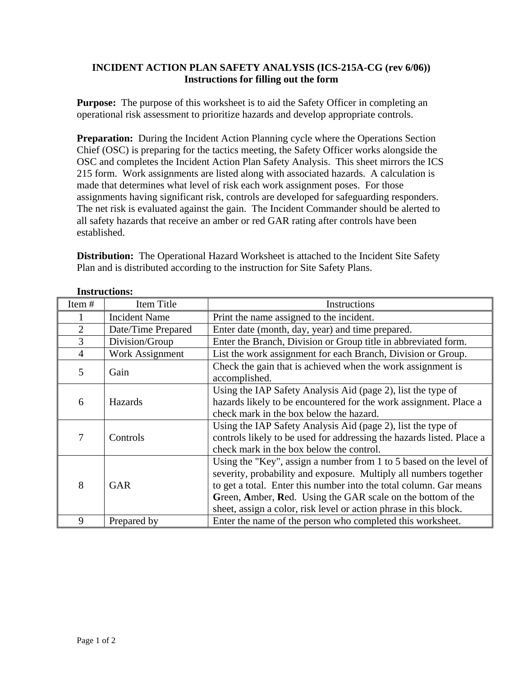### **INCIDENT ACTION PLAN SAFETY ANALYSIS (ICS-215A-CG (rev 6/06)) Instructions for filling out the form**

**Purpose:** The purpose of this worksheet is to aid the Safety Officer in completing an operational risk assessment to prioritize hazards and develop appropriate controls.

**Preparation:** During the Incident Action Planning cycle where the Operations Section Chief (OSC) is preparing for the tactics meeting, the Safety Officer works alongside the OSC and completes the Incident Action Plan Safety Analysis. This sheet mirrors the ICS 215 form. Work assignments are listed along with associated hazards. A calculation is made that determines what level of risk each work assignment poses. For those assignments having significant risk, controls are developed for safeguarding responders. The net risk is evaluated against the gain. The Incident Commander should be alerted to all safety hazards that receive an amber or red GAR rating after controls have been established.

**Distribution:** The Operational Hazard Worksheet is attached to the Incident Site Safety Plan and is distributed according to the instruction for Site Safety Plans.

| Item#<br>Item Title |                      | Instructions                                                                                                                                                                                                                                                                                                                                      |  |  |  |  |  |
|---------------------|----------------------|---------------------------------------------------------------------------------------------------------------------------------------------------------------------------------------------------------------------------------------------------------------------------------------------------------------------------------------------------|--|--|--|--|--|
|                     | <b>Incident Name</b> | Print the name assigned to the incident.                                                                                                                                                                                                                                                                                                          |  |  |  |  |  |
| $\overline{2}$      | Date/Time Prepared   | Enter date (month, day, year) and time prepared.                                                                                                                                                                                                                                                                                                  |  |  |  |  |  |
| 3                   | Division/Group       | Enter the Branch, Division or Group title in abbreviated form.                                                                                                                                                                                                                                                                                    |  |  |  |  |  |
| $\overline{4}$      | Work Assignment      | List the work assignment for each Branch, Division or Group.                                                                                                                                                                                                                                                                                      |  |  |  |  |  |
| 5                   | Gain                 | Check the gain that is achieved when the work assignment is<br>accomplished.                                                                                                                                                                                                                                                                      |  |  |  |  |  |
| 6                   | Hazards              | Using the IAP Safety Analysis Aid (page 2), list the type of<br>hazards likely to be encountered for the work assignment. Place a<br>check mark in the box below the hazard.                                                                                                                                                                      |  |  |  |  |  |
| 7                   | Controls             | Using the IAP Safety Analysis Aid (page 2), list the type of<br>controls likely to be used for addressing the hazards listed. Place a<br>check mark in the box below the control.                                                                                                                                                                 |  |  |  |  |  |
| 8                   | <b>GAR</b>           | Using the "Key", assign a number from 1 to 5 based on the level of<br>severity, probability and exposure. Multiply all numbers together<br>to get a total. Enter this number into the total column. Gar means<br>Green, Amber, Red. Using the GAR scale on the bottom of the<br>sheet, assign a color, risk level or action phrase in this block. |  |  |  |  |  |
| 9                   | Prepared by          | Enter the name of the person who completed this worksheet.                                                                                                                                                                                                                                                                                        |  |  |  |  |  |

### **Instructions:**